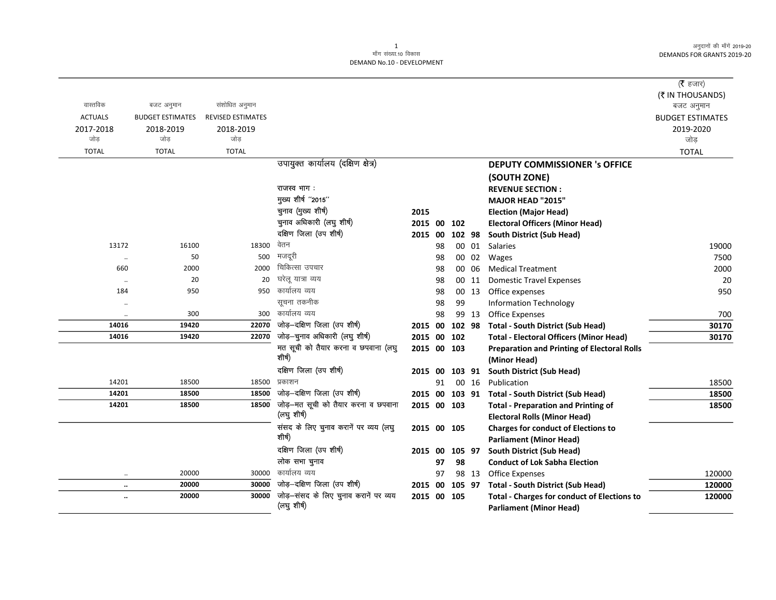|                |                         |                          |                                               |                |    |        |       |                                                                              | (रै हजार)<br>(₹ IN THOUSANDS) |
|----------------|-------------------------|--------------------------|-----------------------------------------------|----------------|----|--------|-------|------------------------------------------------------------------------------|-------------------------------|
| वास्तविक       | बजट अनुमान              | संशोधित अनुमान           |                                               |                |    |        |       |                                                                              | बजट अनुमान                    |
| <b>ACTUALS</b> | <b>BUDGET ESTIMATES</b> | <b>REVISED ESTIMATES</b> |                                               |                |    |        |       |                                                                              | <b>BUDGET ESTIMATES</b>       |
| 2017-2018      | 2018-2019               | 2018-2019                |                                               |                |    |        |       |                                                                              | 2019-2020                     |
| जोड            | जोड                     | जोड                      |                                               |                |    |        |       |                                                                              | जोड़                          |
| <b>TOTAL</b>   | <b>TOTAL</b>            | <b>TOTAL</b>             |                                               |                |    |        |       |                                                                              | <b>TOTAL</b>                  |
|                |                         |                          | उपायुक्त कार्यालय (दक्षिण क्षेत्र)            |                |    |        |       | <b>DEPUTY COMMISSIONER 's OFFICE</b>                                         |                               |
|                |                         |                          |                                               |                |    |        |       | (SOUTH ZONE)                                                                 |                               |
|                |                         |                          | राजस्व भाग:                                   |                |    |        |       | <b>REVENUE SECTION:</b>                                                      |                               |
|                |                         |                          | मुख्य शीर्ष "2015"                            |                |    |        |       | MAJOR HEAD "2015"                                                            |                               |
|                |                         |                          | चुनाव (मुख्य शीर्ष)                           | 2015           |    |        |       | <b>Election (Major Head)</b>                                                 |                               |
|                |                         |                          | चुनाव अधिकारी (लघु शीर्ष)                     | 2015 00 102    |    |        |       | <b>Electoral Officers (Minor Head)</b>                                       |                               |
|                |                         |                          | दक्षिण जिला (उप शीर्ष)                        | 2015 00        |    | 102 98 |       | <b>South District (Sub Head)</b>                                             |                               |
| 13172          | 16100                   | 18300                    | वेतन                                          |                | 98 |        | 00 01 | Salaries                                                                     | 19000                         |
| $\ddotsc$      | 50                      | 500                      | मजदूरी                                        |                | 98 |        | 00 02 | Wages                                                                        | 7500                          |
| 660            | 2000                    | 2000                     | चिकित्सा उपचार                                |                | 98 | 00     | 06    | <b>Medical Treatment</b>                                                     | 2000                          |
| $\ddotsc$      | 20                      | 20                       | घरेलू यात्रा व्यय                             |                | 98 | 00     | 11    | <b>Domestic Travel Expenses</b>                                              | 20                            |
| 184            | 950                     | 950                      | कार्यालय व्यय                                 |                | 98 |        | 00 13 | Office expenses                                                              | 950                           |
|                |                         |                          | सूचना तकनीक                                   |                | 98 | 99     |       | <b>Information Technology</b>                                                |                               |
|                | 300                     | 300                      | कार्यालय व्यय                                 |                | 98 |        | 99 13 | <b>Office Expenses</b>                                                       | 700                           |
| 14016          | 19420                   | 22070                    | जोड़-दक्षिण जिला (उप शीर्ष)                   | 2015 00        |    | 102 98 |       | <b>Total - South District (Sub Head)</b>                                     | 30170                         |
| 14016          | 19420                   | 22070                    | जोड़-चुनाव अधिकारी (लघु शीर्ष)                | 2015 00 102    |    |        |       | <b>Total - Electoral Officers (Minor Head)</b>                               | 30170                         |
|                |                         |                          | मत सूची को तैयार करना व छपवाना (लघु<br>शीर्ष) | 2015 00 103    |    |        |       | <b>Preparation and Printing of Electoral Rolls</b>                           |                               |
|                |                         |                          |                                               |                |    |        |       | (Minor Head)                                                                 |                               |
|                |                         |                          | दक्षिण जिला (उप शीर्ष)<br>प्रकाशन             | 2015           | 00 | 103 91 |       | <b>South District (Sub Head)</b>                                             |                               |
| 14201<br>14201 | 18500<br>18500          | 18500<br>18500           | जोड़-दक्षिण जिला (उप शीर्ष)                   |                | 91 |        | 00 16 | Publication                                                                  | 18500                         |
| 14201          | 18500                   | 18500                    | जोड़-मत सूची को तैयार करना व छपवाना           | 2015 00 103 91 |    |        |       | <b>Total - South District (Sub Head)</b>                                     | 18500                         |
|                |                         |                          | (लघु शीर्ष)                                   | 2015 00 103    |    |        |       | <b>Total - Preparation and Printing of</b>                                   | 18500                         |
|                |                         |                          | संसद के लिए चुनाव करानें पर व्यय (लघु         | 2015 00 105    |    |        |       | <b>Electoral Rolls (Minor Head)</b>                                          |                               |
|                |                         |                          | शीर्ष)                                        |                |    |        |       | <b>Charges for conduct of Elections to</b><br><b>Parliament (Minor Head)</b> |                               |
|                |                         |                          | दक्षिण जिला (उप शीर्ष)                        | 2015 00        |    | 105 97 |       | South District (Sub Head)                                                    |                               |
|                |                         |                          | लोक सभा चुनाव                                 |                | 97 | 98     |       | <b>Conduct of Lok Sabha Election</b>                                         |                               |
| $\ldots$       | 20000                   | 30000                    | कार्यालय व्यय                                 |                | 97 |        | 98 13 | <b>Office Expenses</b>                                                       | 120000                        |
| $\ddotsc$      | 20000                   | 30000                    | जोड़-दक्षिण जिला (उप शीर्ष)                   | 2015 00 105 97 |    |        |       | <b>Total - South District (Sub Head)</b>                                     | 120000                        |
| $\ddotsc$      | 20000                   | 30000                    | जोड़-संसद के लिए चुनाव करानें पर व्यय         | 2015 00 105    |    |        |       | <b>Total - Charges for conduct of Elections to</b>                           | 120000                        |
|                |                         |                          | (लघु शीर्ष)                                   |                |    |        |       | <b>Parliament (Minor Head)</b>                                               |                               |
|                |                         |                          |                                               |                |    |        |       |                                                                              |                               |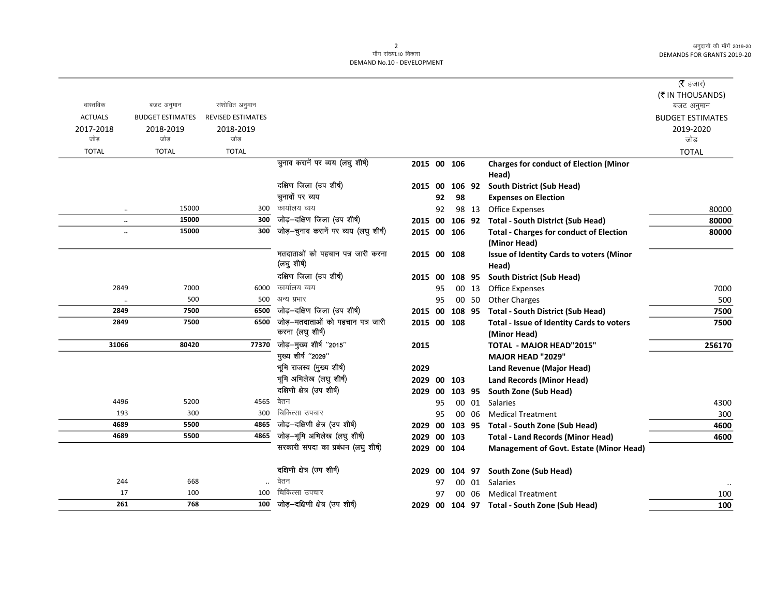|                |                               |                          |                                                      |                |    |        |       |                                                                | ( <b>रै</b> हजार)       |
|----------------|-------------------------------|--------------------------|------------------------------------------------------|----------------|----|--------|-------|----------------------------------------------------------------|-------------------------|
|                |                               |                          |                                                      |                |    |        |       |                                                                | (₹ IN THOUSANDS)        |
| वास्तविक       | बजट अनुमान                    | संशोधित अनुमान           |                                                      |                |    |        |       |                                                                | बजट अनुमान              |
| <b>ACTUALS</b> | <b>BUDGET ESTIMATES</b>       | <b>REVISED ESTIMATES</b> |                                                      |                |    |        |       |                                                                | <b>BUDGET ESTIMATES</b> |
| 2017-2018      | 2018-2019                     | 2018-2019                |                                                      |                |    |        |       |                                                                | 2019-2020               |
| जोड़           | जोड                           | जोड                      |                                                      |                |    |        |       |                                                                | जोड                     |
| <b>TOTAL</b>   | <b>TOTAL</b>                  | <b>TOTAL</b>             |                                                      |                |    |        |       |                                                                | <b>TOTAL</b>            |
|                |                               |                          | चुनाव करानें पर व्यय (लघु शीर्ष)                     | 2015 00 106    |    |        |       | <b>Charges for conduct of Election (Minor</b><br>Head)         |                         |
|                |                               |                          | दक्षिण जिला (उप शीर्ष)                               | 2015 00        |    | 106 92 |       | <b>South District (Sub Head)</b>                               |                         |
|                |                               |                          | चुनावों पर व्यय                                      |                | 92 | 98     |       | <b>Expenses on Election</b>                                    |                         |
|                | 15000<br>$\ddotsc$            | 300                      | कार्यालय व्यय                                        |                | 92 |        | 98 13 | <b>Office Expenses</b>                                         | 80000                   |
|                | 15000<br>$\ddot{\phantom{a}}$ | 300                      | जोड़-दक्षिण जिला (उप शीर्ष)                          |                |    |        |       | 2015 00 106 92 Total - South District (Sub Head)               | 80000                   |
|                | 15000<br>                     | 300                      | जोड़-चुनाव करानें पर व्यय (लघु शीर्ष)                | 2015 00 106    |    |        |       | <b>Total - Charges for conduct of Election</b><br>(Minor Head) | 80000                   |
|                |                               |                          | मतदाताओं को पहचान पत्र जारी करना<br>(लघु शीर्ष)      | 2015 00 108    |    |        |       | <b>Issue of Identity Cards to voters (Minor</b><br>Head)       |                         |
|                |                               |                          | दक्षिण जिला (उप शीर्ष)                               | 2015 00        |    | 108 95 |       | <b>South District (Sub Head)</b>                               |                         |
| 2849           | 7000                          | 6000                     | कार्यालय व्यय                                        |                | 95 |        | 00 13 | <b>Office Expenses</b>                                         | 7000                    |
|                | 500                           | 500                      | अन्य प्रभार                                          |                | 95 |        | 00 50 | Other Charges                                                  | 500                     |
| 2849           | 7500                          | 6500                     | जोड़-दक्षिण जिला (उप शीर्ष)                          | 2015 00 108 95 |    |        |       | <b>Total - South District (Sub Head)</b>                       | 7500                    |
| 2849           | 7500                          | 6500                     | जोड़–मतदाताओं को पहचान पत्र जारी<br>करना (लघु शीर्ष) | 2015 00 108    |    |        |       | Total - Issue of Identity Cards to voters<br>(Minor Head)      | 7500                    |
| 31066          | 80420                         | 77370                    | जोड़-मुख्य शीर्ष "2015"                              | 2015           |    |        |       | <b>TOTAL - MAJOR HEAD"2015"</b>                                | 256170                  |
|                |                               |                          | मुख्य शीर्ष "2029"                                   |                |    |        |       | <b>MAJOR HEAD "2029"</b>                                       |                         |
|                |                               |                          | भूमि राजस्व (मुख्य शीर्ष)                            | 2029           |    |        |       | <b>Land Revenue (Major Head)</b>                               |                         |
|                |                               |                          | भूमि अभिलेख (लघु शीर्ष)                              | 2029 00 103    |    |        |       | <b>Land Records (Minor Head)</b>                               |                         |
|                |                               |                          | दक्षिणी क्षेत्र (उप शीर्ष)                           | 2029 00        |    | 103 95 |       | South Zone (Sub Head)                                          |                         |
| 4496           | 5200                          | 4565                     | वेतन                                                 |                | 95 |        | 00 01 | <b>Salaries</b>                                                | 4300                    |
| 193            | 300                           | 300                      | चिकित्सा उपचार                                       |                | 95 |        | 00 06 | <b>Medical Treatment</b>                                       | 300                     |
| 4689           | 5500                          | 4865                     | जोड़-दक्षिणी क्षेत्र (उप शीर्ष)                      | 2029 00 103 95 |    |        |       | <b>Total - South Zone (Sub Head)</b>                           | 4600                    |
| 4689           | 5500                          | 4865                     | जोड़-भूमि अभिलेख (लघु शीर्ष)                         | 2029 00 103    |    |        |       | <b>Total - Land Records (Minor Head)</b>                       | 4600                    |
|                |                               |                          | सरकारी संपदा का प्रबंधन (लघु शीर्ष)                  | 2029 00 104    |    |        |       | <b>Management of Govt. Estate (Minor Head)</b>                 |                         |
|                |                               |                          | दक्षिणी क्षेत्र (उप शीर्ष)                           |                |    |        |       | 2029 00 104 97 South Zone (Sub Head)                           |                         |
| 244            | 668                           |                          | वेतन                                                 |                | 97 |        |       | 00 01 Salaries                                                 |                         |
| 17             | 100                           | 100                      | चिकित्सा उपचार                                       |                | 97 |        | 00 06 | <b>Medical Treatment</b>                                       | 100                     |
| 261            | 768                           | 100                      | जोड़-दक्षिणी क्षेत्र (उप शीर्ष)                      |                |    |        |       | 2029 00 104 97 Total - South Zone (Sub Head)                   | 100                     |
|                |                               |                          |                                                      |                |    |        |       |                                                                |                         |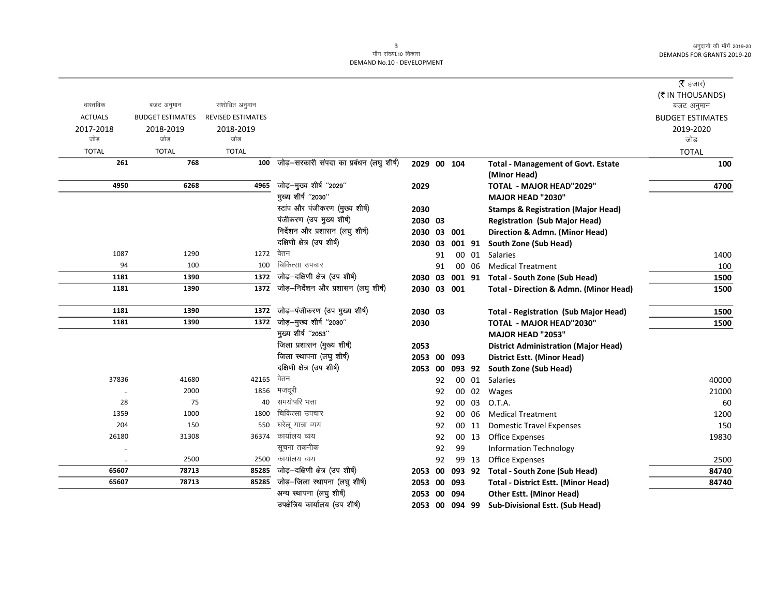|                |                         |                          |                                              |             |    |        |        |                                                   | ( $\bar{\tau}$ हजार)           |
|----------------|-------------------------|--------------------------|----------------------------------------------|-------------|----|--------|--------|---------------------------------------------------|--------------------------------|
| वास्तविक       | बजट अनुमान              | संशोधित अनुमान           |                                              |             |    |        |        |                                                   | (₹ IN THOUSANDS)<br>बजट अनुमान |
| <b>ACTUALS</b> | <b>BUDGET ESTIMATES</b> | <b>REVISED ESTIMATES</b> |                                              |             |    |        |        |                                                   | <b>BUDGET ESTIMATES</b>        |
| 2017-2018      | 2018-2019               | 2018-2019                |                                              |             |    |        |        |                                                   | 2019-2020                      |
| जोड            | जोड                     | जोड                      |                                              |             |    |        |        |                                                   | जोड़                           |
| <b>TOTAL</b>   | <b>TOTAL</b>            | <b>TOTAL</b>             |                                              |             |    |        |        |                                                   | <b>TOTAL</b>                   |
| 261            | 768                     |                          | 100 जोड़-सरकारी संपदा का प्रबंधन (लघु शीर्ष) | 2029 00 104 |    |        |        | <b>Total - Management of Govt. Estate</b>         | 100                            |
|                |                         |                          |                                              |             |    |        |        | (Minor Head)                                      |                                |
| 4950           | 6268                    | 4965                     | जोड़-मुख्य शीर्ष "2029"                      | 2029        |    |        |        | TOTAL - MAJOR HEAD"2029"                          | 4700                           |
|                |                         |                          | मुख्य शीर्ष "2030"                           |             |    |        |        | <b>MAJOR HEAD "2030"</b>                          |                                |
|                |                         |                          | स्टांप और पंजीकरण (मुख्य शीर्ष)              | 2030        |    |        |        | <b>Stamps &amp; Registration (Major Head)</b>     |                                |
|                |                         |                          | पंजीकरण (उप मुख्य शीर्ष)                     | 2030 03     |    |        |        | <b>Registration (Sub Major Head)</b>              |                                |
|                |                         |                          | निर्देशन और प्रशासन (लघु शीर्ष)              | 2030 03 001 |    |        |        | Direction & Admn. (Minor Head)                    |                                |
|                |                         |                          | दक्षिणी क्षेत्र (उप शीर्ष)                   | 2030 03     |    | 001 91 |        | <b>South Zone (Sub Head)</b>                      |                                |
| 1087           | 1290                    | 1272                     | वेतन                                         |             | 91 |        | 00 01  | Salaries                                          | 1400                           |
| 94             | 100                     | 100                      | चिकित्सा उपचार                               |             | 91 |        | 00 06  | <b>Medical Treatment</b>                          | 100                            |
| 1181           | 1390                    | 1372                     | जोड़-दक्षिणी क्षेत्र (उप शीर्ष)              | 2030 03     |    |        |        | 001 91 Total - South Zone (Sub Head)              | 1500                           |
| 1181           | 1390                    | 1372                     | जोड़-निर्देशन और प्रशासन (लघु शीर्ष)         | 2030 03 001 |    |        |        | <b>Total - Direction &amp; Admn. (Minor Head)</b> | 1500                           |
| 1181           | 1390                    | 1372                     | जोड़—पंजीकरण (उप मुख्य शीर्ष)                | 2030 03     |    |        |        | <b>Total - Registration (Sub Major Head)</b>      | 1500                           |
| 1181           | 1390                    | 1372                     | जोड़-मुख्य शीर्ष "2030"                      | 2030        |    |        |        | <b>TOTAL - MAJOR HEAD"2030"</b>                   | 1500                           |
|                |                         |                          | मुख्य शीर्ष "2053"                           |             |    |        |        | MAJOR HEAD "2053"                                 |                                |
|                |                         |                          | जिला प्रशासन (मुख्य शीर्ष)                   | 2053        |    |        |        | <b>District Administration (Major Head)</b>       |                                |
|                |                         |                          | जिला स्थापना (लघु शीर्ष)                     | 2053 00 093 |    |        |        | <b>District Estt. (Minor Head)</b>                |                                |
|                |                         |                          | दक्षिणी क्षेत्र (उप शीर्ष)                   | 2053 00     |    |        | 093 92 | South Zone (Sub Head)                             |                                |
| 37836          | 41680                   | 42165                    | वेतन                                         |             | 92 |        | 00 01  | Salaries                                          | 40000                          |
| $\cdot\cdot$   | 2000                    | 1856                     | मजदूरी                                       |             | 92 |        | 00 02  | Wages                                             | 21000                          |
| 28             | 75                      | 40                       | समयोपरि भत्ता                                |             | 92 |        | 00 03  | O.T.A.                                            | 60                             |
| 1359           | 1000                    | 1800                     | चिकित्सा उपचार                               |             | 92 |        | 00 06  | <b>Medical Treatment</b>                          | 1200                           |
| 204            | 150                     | 550                      | घरेलू यात्रा व्यय                            |             | 92 |        | 00 11  | <b>Domestic Travel Expenses</b>                   | 150                            |
| 26180          | 31308                   | 36374                    | कार्यालय व्यय                                |             | 92 |        | 00 13  | <b>Office Expenses</b>                            | 19830                          |
| $\cdot\cdot$   |                         |                          | सूचना तकनीक                                  |             | 92 | 99     |        | <b>Information Technology</b>                     |                                |
| $\cdot\cdot$   | 2500                    | 2500                     | कार्यालय व्यय                                |             | 92 |        | 99 13  | <b>Office Expenses</b>                            | 2500                           |
| 65607          | 78713                   |                          | 85285 जोड़-दक्षिणी क्षेत्र (उप शीर्ष)        | 2053 00     |    | 093 92 |        | <b>Total - South Zone (Sub Head)</b>              | 84740                          |
| 65607          | 78713                   |                          | 85285 जोड़-जिला स्थापना (लघु शीर्ष)          | 2053 00     |    | 093    |        | <b>Total - District Estt. (Minor Head)</b>        | 84740                          |
|                |                         |                          | अन्य स्थापना (लघु शीर्ष)                     | 2053 00     |    | 094    |        | <b>Other Estt. (Minor Head)</b>                   |                                |
|                |                         |                          | उपक्षेत्रिय कार्यालय (उप शीर्ष)              | 2053 00     |    | 094 99 |        | <b>Sub-Divisional Estt. (Sub Head)</b>            |                                |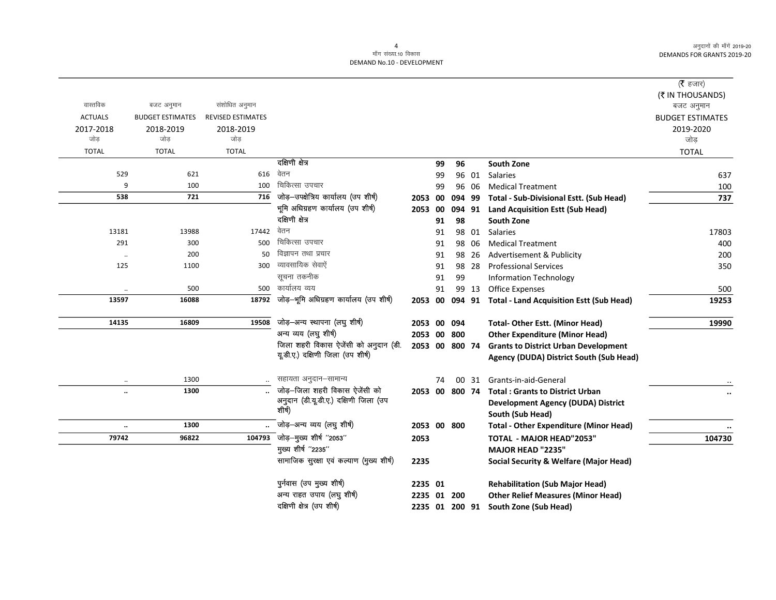$\overline{\phantom{0}}$ 

|                |                         |                          |                                          |                |    |                |       |                                                   | ( $\bar{\tau}$ हजार)<br>(₹ IN THOUSANDS) |
|----------------|-------------------------|--------------------------|------------------------------------------|----------------|----|----------------|-------|---------------------------------------------------|------------------------------------------|
| वास्तविक       | बजट अनुमान              | संशोधित अनुमान           |                                          |                |    |                |       |                                                   | बजट अनुमान                               |
| <b>ACTUALS</b> | <b>BUDGET ESTIMATES</b> | <b>REVISED ESTIMATES</b> |                                          |                |    |                |       |                                                   | <b>BUDGET ESTIMATES</b>                  |
| 2017-2018      | 2018-2019               | 2018-2019                |                                          |                |    |                |       |                                                   | 2019-2020                                |
| जोड़           | जोड                     | जोड                      |                                          |                |    |                |       |                                                   | जोड़                                     |
| <b>TOTAL</b>   | <b>TOTAL</b>            | <b>TOTAL</b>             |                                          |                |    |                |       |                                                   | <b>TOTAL</b>                             |
|                |                         |                          | दक्षिणी क्षेत्र                          |                | 99 | 96             |       | <b>South Zone</b>                                 |                                          |
| 529            | 621                     | 616                      | वेतन                                     |                | 99 |                | 96 01 | Salaries                                          | 637                                      |
| 9              | 100                     | 100                      | चिकित्सा उपचार                           |                | 99 |                | 96 06 | <b>Medical Treatment</b>                          | 100                                      |
| 538            | 721                     | 716                      | जोड़-उपक्षेत्रिय कार्यालय (उप शीर्ष)     | 2053 00        |    |                |       | 094 99 Total - Sub-Divisional Estt. (Sub Head)    | 737                                      |
|                |                         |                          | भूमि अधिग्रहण कार्यालय (उप शीर्ष)        | 2053 00        |    |                |       | 094 91 Land Acquisition Estt (Sub Head)           |                                          |
|                |                         |                          | दक्षिणी क्षेत्र                          |                | 91 | 98             |       | South Zone                                        |                                          |
| 13181          | 13988                   | 17442                    | वेतन                                     |                | 91 |                | 98 01 | Salaries                                          | 17803                                    |
| 291            | 300                     | 500                      | चिकित्सा उपचार                           |                | 91 |                | 98 06 | <b>Medical Treatment</b>                          | 400                                      |
| $\ddotsc$      | 200                     | 50                       | विज्ञापन तथा प्रचार                      |                | 91 |                | 98 26 | Advertisement & Publicity                         | 200                                      |
| 125            | 1100                    | 300                      | व्यावसायिक सेवाऐं                        |                | 91 |                | 98 28 | <b>Professional Services</b>                      | 350                                      |
|                |                         |                          | सूचना तकनीक                              |                | 91 | 99             |       | <b>Information Technology</b>                     |                                          |
|                | 500                     | 500                      | कार्यालय व्यय                            |                | 91 |                | 99 13 | <b>Office Expenses</b>                            | 500                                      |
| 13597          | 16088                   | 18792                    | जोड़-भूमि अधिग्रहण कार्यालय (उप शीर्ष)   | 2053 00        |    |                |       | 094 91 Total - Land Acquisition Estt (Sub Head)   | 19253                                    |
| 14135          | 16809                   | 19508                    | जोड़-अन्य स्थापना (लघु शीर्ष)            | 2053 00 094    |    |                |       | <b>Total- Other Estt. (Minor Head)</b>            | 19990                                    |
|                |                         |                          | अन्य व्यय (लघु शीर्ष)                    | 2053 00 800    |    |                |       | <b>Other Expenditure (Minor Head)</b>             |                                          |
|                |                         |                          | जिला शहरी विकास ऐजेंसी को अनुदान (डी.    | 2053 00 800 74 |    |                |       | <b>Grants to District Urban Development</b>       |                                          |
|                |                         |                          | यूडी.ए.) दक्षिणी जिला (उप शीर्ष)         |                |    |                |       | Agency (DUDA) District South (Sub Head)           |                                          |
| $\cdot\cdot$   | 1300                    |                          | सहायता अनुदान–सामान्य                    |                | 74 |                | 00 31 | Grants-in-aid-General                             |                                          |
| $\ddotsc$      | 1300                    |                          | जोड़—जिला शहरी विकास ऐजेंसी को           |                |    | 2053 00 800 74 |       | <b>Total: Grants to District Urban</b>            |                                          |
|                |                         |                          | अनुदान (डी.यू.डी.ए.) दक्षिणी जिला (उप    |                |    |                |       | <b>Development Agency (DUDA) District</b>         |                                          |
|                |                         |                          | शीर्ष)                                   |                |    |                |       | South (Sub Head)                                  |                                          |
| $\ddotsc$      | 1300                    |                          | जोड़-अन्य व्यय (लघु शीर्ष)               | 2053 00 800    |    |                |       | <b>Total - Other Expenditure (Minor Head)</b>     |                                          |
| 79742          | 96822                   | 104793                   | -<br>जोड़—मुख्य शीर्ष "2053"             | 2053           |    |                |       | <b>TOTAL - MAJOR HEAD"2053"</b>                   | 104730                                   |
|                |                         |                          | मुख्य शीर्ष "2235"                       |                |    |                |       | <b>MAJOR HEAD "2235"</b>                          |                                          |
|                |                         |                          | सामाजिक सुरक्षा एवं कल्याण (मुख्य शीर्ष) | 2235           |    |                |       | <b>Social Security &amp; Welfare (Major Head)</b> |                                          |
|                |                         |                          | पुर्नवास (उप मुख्य शीर्ष)                | 2235 01        |    |                |       | <b>Rehabilitation (Sub Major Head)</b>            |                                          |
|                |                         |                          | अन्य राहत उपाय (लघु शीर्ष)               | 2235 01 200    |    |                |       | <b>Other Relief Measures (Minor Head)</b>         |                                          |
|                |                         |                          | दक्षिणी क्षेत्र (उप शीर्ष)               |                |    | 2235 01 200 91 |       | <b>South Zone (Sub Head)</b>                      |                                          |